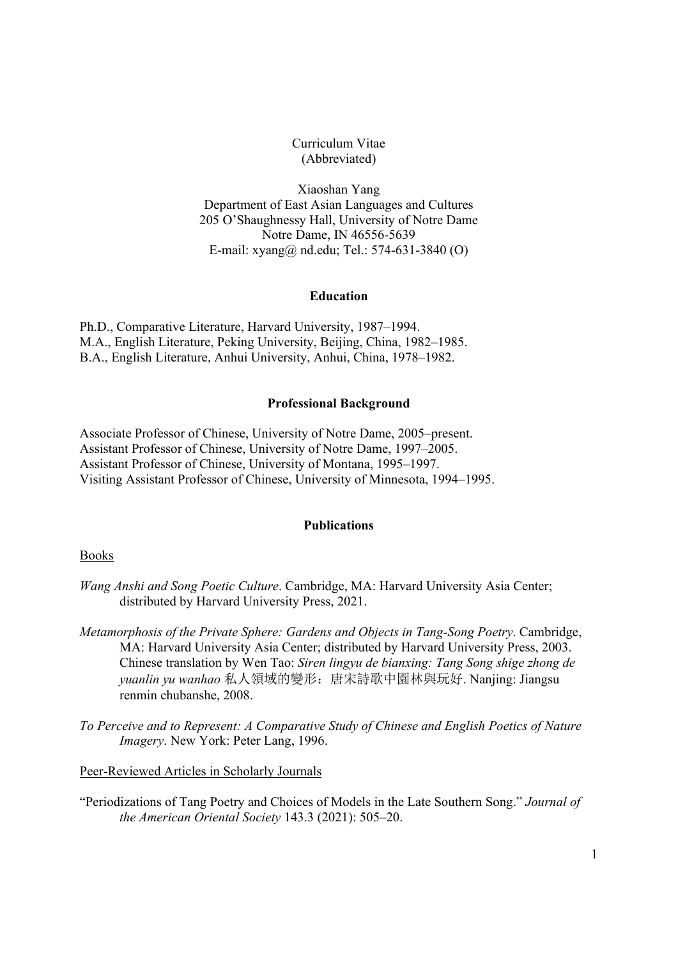## Curriculum Vitae (Abbreviated)

Xiaoshan Yang Department of East Asian Languages and Cultures 205 O'Shaughnessy Hall, University of Notre Dame Notre Dame, IN 46556-5639 E-mail: xyang@ nd.edu; Tel.: 574-631-3840 (O)

## **Education**

Ph.D., Comparative Literature, Harvard University, 1987–1994. M.A., English Literature, Peking University, Beijing, China, 1982–1985. B.A., English Literature, Anhui University, Anhui, China, 1978–1982.

## **Professional Background**

Associate Professor of Chinese, University of Notre Dame, 2005–present. Assistant Professor of Chinese, University of Notre Dame, 1997–2005. Assistant Professor of Chinese, University of Montana, 1995–1997. Visiting Assistant Professor of Chinese, University of Minnesota, 1994–1995.

## **Publications**

Books

- *Wang Anshi and Song Poetic Culture*. Cambridge, MA: Harvard University Asia Center; distributed by Harvard University Press, 2021.
- *Metamorphosis of the Private Sphere: Gardens and Objects in Tang-Song Poetry*. Cambridge, MA: Harvard University Asia Center; distributed by Harvard University Press, 2003. Chinese translation by Wen Tao: *Siren lingyu de bianxing: Tang Song shige zhong de yuanlin yu wanhao* 私人領域的變形:唐宋詩歌中園林與玩好. Nanjing: Jiangsu renmin chubanshe, 2008.
- *To Perceive and to Represent: A Comparative Study of Chinese and English Poetics of Nature Imagery*. New York: Peter Lang, 1996.

Peer-Reviewed Articles in Scholarly Journals

"Periodizations of Tang Poetry and Choices of Models in the Late Southern Song." *Journal of the American Oriental Society* 143.3 (2021): 505–20.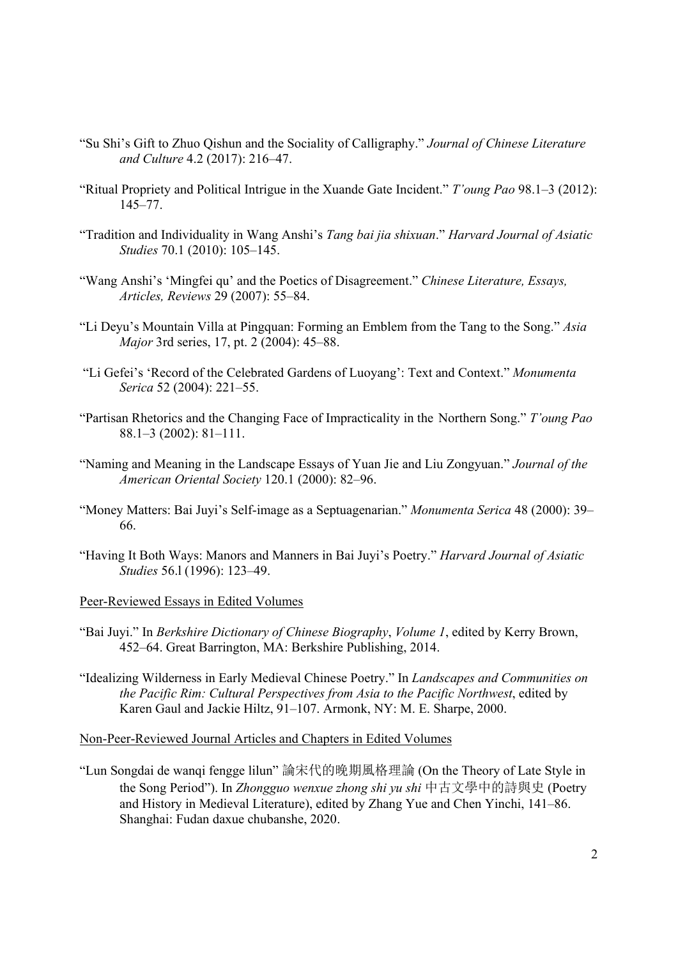- "Su Shi's Gift to Zhuo Qishun and the Sociality of Calligraphy." *Journal of Chinese Literature and Culture* 4.2 (2017): 216–47.
- "Ritual Propriety and Political Intrigue in the Xuande Gate Incident." *T'oung Pao* 98.1–3 (2012): 145–77.
- "Tradition and Individuality in Wang Anshi's *Tang bai jia shixuan*." *Harvard Journal of Asiatic Studies* 70.1 (2010): 105–145.
- "Wang Anshi's 'Mingfei qu' and the Poetics of Disagreement." *Chinese Literature, Essays, Articles, Reviews* 29 (2007): 55–84.
- "Li Deyu's Mountain Villa at Pingquan: Forming an Emblem from the Tang to the Song." *Asia Major* 3rd series, 17, pt. 2 (2004): 45–88.
- "Li Gefei's 'Record of the Celebrated Gardens of Luoyang': Text and Context." *Monumenta Serica* 52 (2004): 221–55.
- "Partisan Rhetorics and the Changing Face of Impracticality in the Northern Song." *T'oung Pao* 88.1–3 (2002): 81–111.
- "Naming and Meaning in the Landscape Essays of Yuan Jie and Liu Zongyuan." *Journal of the American Oriental Society* 120.1 (2000): 82–96.
- "Money Matters: Bai Juyi's Self-image as a Septuagenarian." *Monumenta Serica* 48 (2000): 39– 66.
- "Having It Both Ways: Manors and Manners in Bai Juyi's Poetry." *Harvard Journal of Asiatic Studies* 56.l (1996): 123–49.

Peer-Reviewed Essays in Edited Volumes

- "Bai Juyi." In *Berkshire Dictionary of Chinese Biography*, *Volume 1*, edited by Kerry Brown, 452–64. Great Barrington, MA: Berkshire Publishing, 2014.
- "Idealizing Wilderness in Early Medieval Chinese Poetry." In *Landscapes and Communities on the Pacific Rim: Cultural Perspectives from Asia to the Pacific Northwest*, edited by Karen Gaul and Jackie Hiltz, 91–107. Armonk, NY: M. E. Sharpe, 2000.

Non-Peer-Reviewed Journal Articles and Chapters in Edited Volumes

"Lun Songdai de wanqi fengge lilun" 論宋代的晚期風格理論 (On the Theory of Late Style in the Song Period"). In *Zhongguo wenxue zhong shi yu shi* 中古文學中的詩與史 (Poetry and History in Medieval Literature), edited by Zhang Yue and Chen Yinchi, 141–86. Shanghai: Fudan daxue chubanshe, 2020.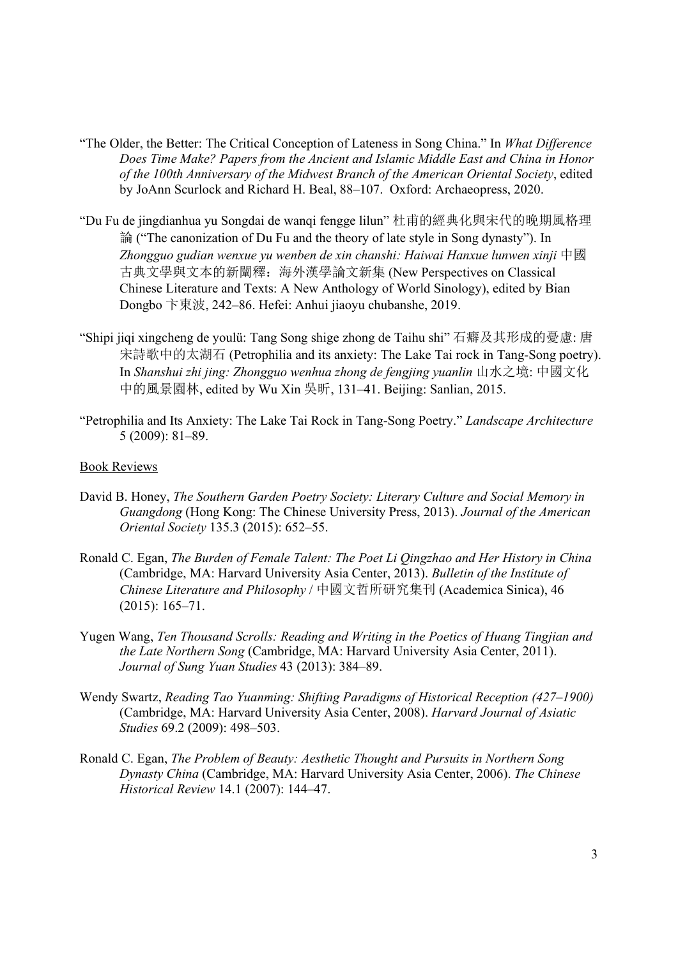- "The Older, the Better: The Critical Conception of Lateness in Song China." In *What Difference Does Time Make? Papers from the Ancient and Islamic Middle East and China in Honor of the 100th Anniversary of the Midwest Branch of the American Oriental Society*, edited by JoAnn Scurlock and Richard H. Beal, 88–107. Oxford: Archaeopress, 2020.
- "Du Fu de jingdianhua yu Songdai de wanqi fengge lilun" 杜甫的經典化與宋代的晚期風格理 論 ("The canonization of Du Fu and the theory of late style in Song dynasty"). In *Zhongguo gudian wenxue yu wenben de xin chanshi: Haiwai Hanxue lunwen xinji* 中國 古典文學與文本的新闡釋:海外漢學論文新集 (New Perspectives on Classical Chinese Literature and Texts: A New Anthology of World Sinology), edited by Bian Dongbo 卞東波, 242–86. Hefei: Anhui jiaoyu chubanshe, 2019.
- "Shipi jiqi xingcheng de youlü: Tang Song shige zhong de Taihu shi" 石癖及其形成的憂慮: 唐 宋詩歌中的太湖石 (Petrophilia and its anxiety: The Lake Tai rock in Tang-Song poetry). In *Shanshui zhi jing: Zhongguo wenhua zhong de fengjing yuanlin* 山水之境: 中國文化 中的風景園林, edited by Wu Xin 吳昕, 131–41. Beijing: Sanlian, 2015.
- "Petrophilia and Its Anxiety: The Lake Tai Rock in Tang-Song Poetry." *Landscape Architecture* 5 (2009): 81–89.

# Book Reviews

- David B. Honey, *The Southern Garden Poetry Society: Literary Culture and Social Memory in Guangdong* (Hong Kong: The Chinese University Press, 2013). *Journal of the American Oriental Society* 135.3 (2015): 652–55.
- Ronald C. Egan, *The Burden of Female Talent: The Poet Li Qingzhao and Her History in China* (Cambridge, MA: Harvard University Asia Center, 2013). *Bulletin of the Institute of Chinese Literature and Philosophy* / 中國文哲所研究集刊 (Academica Sinica), 46 (2015): 165–71.
- Yugen Wang, *Ten Thousand Scrolls: Reading and Writing in the Poetics of Huang Tingjian and the Late Northern Song* (Cambridge, MA: Harvard University Asia Center, 2011). *Journal of Sung Yuan Studies* 43 (2013): 384–89.
- Wendy Swartz, *Reading Tao Yuanming: Shifting Paradigms of Historical Reception (427–1900)* (Cambridge, MA: Harvard University Asia Center, 2008). *Harvard Journal of Asiatic Studies* 69.2 (2009): 498–503.
- Ronald C. Egan, *The Problem of Beauty: Aesthetic Thought and Pursuits in Northern Song Dynasty China* (Cambridge, MA: Harvard University Asia Center, 2006). *The Chinese Historical Review* 14.1 (2007): 144–47.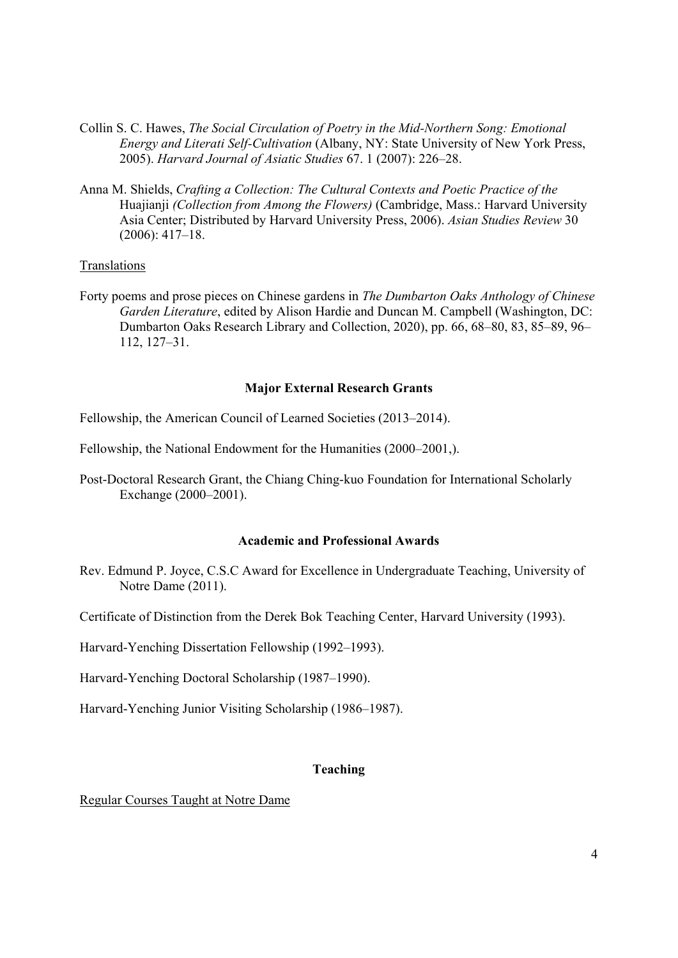- Collin S. C. Hawes, *The Social Circulation of Poetry in the Mid-Northern Song: Emotional Energy and Literati Self-Cultivation* (Albany, NY: State University of New York Press, 2005). *Harvard Journal of Asiatic Studies* 67. 1 (2007): 226–28.
- Anna M. Shields, *Crafting a Collection: The Cultural Contexts and Poetic Practice of the*  Huajianji *(Collection from Among the Flowers)* (Cambridge, Mass.: Harvard University Asia Center; Distributed by Harvard University Press, 2006). *Asian Studies Review* 30 (2006): 417–18.

# Translations

Forty poems and prose pieces on Chinese gardens in *The Dumbarton Oaks Anthology of Chinese Garden Literature*, edited by Alison Hardie and Duncan M. Campbell (Washington, DC: Dumbarton Oaks Research Library and Collection, 2020), pp. 66, 68–80, 83, 85–89, 96– 112, 127–31.

#### **Major External Research Grants**

Fellowship, the American Council of Learned Societies (2013–2014).

Fellowship, the National Endowment for the Humanities (2000–2001,).

Post-Doctoral Research Grant, the Chiang Ching-kuo Foundation for International Scholarly Exchange (2000–2001).

## **Academic and Professional Awards**

Rev. Edmund P. Joyce, C.S.C Award for Excellence in Undergraduate Teaching, University of Notre Dame (2011).

Certificate of Distinction from the Derek Bok Teaching Center, Harvard University (1993).

Harvard-Yenching Dissertation Fellowship (1992–1993).

Harvard-Yenching Doctoral Scholarship (1987–1990).

Harvard-Yenching Junior Visiting Scholarship (1986–1987).

### **Teaching**

Regular Courses Taught at Notre Dame